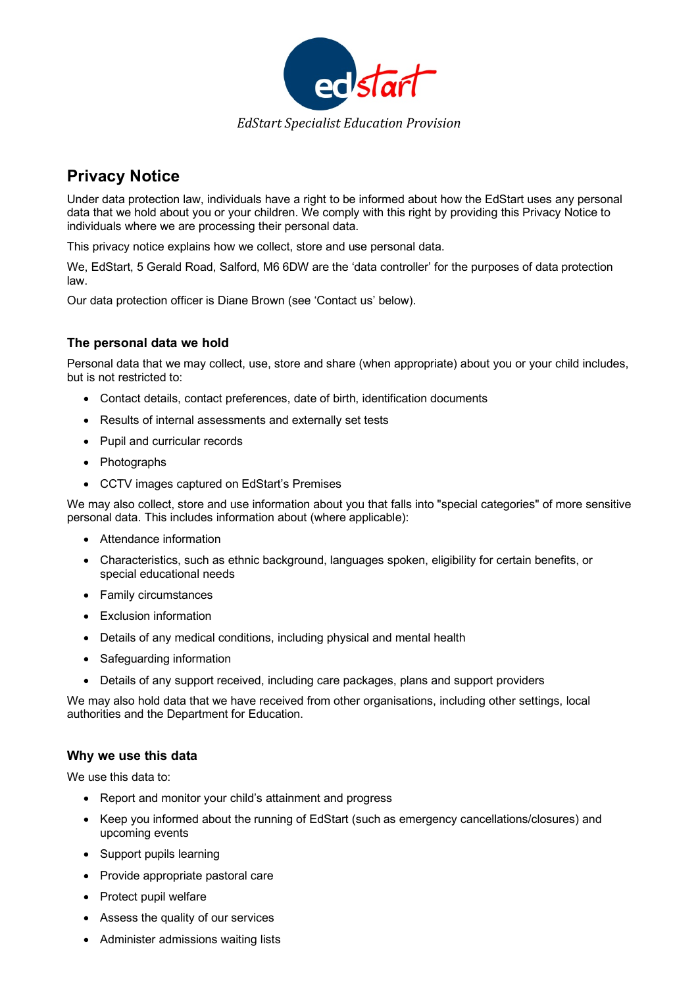

# **Privacy Notice**

Under data protection law, individuals have a right to be informed about how the EdStart uses any personal data that we hold about you or your children. We comply with this right by providing this Privacy Notice to individuals where we are processing their personal data.

This privacy notice explains how we collect, store and use personal data.

We, EdStart, 5 Gerald Road, Salford, M6 6DW are the 'data controller' for the purposes of data protection law.

Our data protection officer is Diane Brown (see 'Contact us' below).

## **The personal data we hold**

Personal data that we may collect, use, store and share (when appropriate) about you or your child includes, but is not restricted to:

- Contact details, contact preferences, date of birth, identification documents
- Results of internal assessments and externally set tests
- Pupil and curricular records
- Photographs
- CCTV images captured on EdStart's Premises

We may also collect, store and use information about you that falls into "special categories" of more sensitive personal data. This includes information about (where applicable):

- Attendance information
- Characteristics, such as ethnic background, languages spoken, eligibility for certain benefits, or special educational needs
- Family circumstances
- Exclusion information
- Details of any medical conditions, including physical and mental health
- Safeguarding information
- Details of any support received, including care packages, plans and support providers

We may also hold data that we have received from other organisations, including other settings, local authorities and the Department for Education.

#### **Why we use this data**

We use this data to:

- Report and monitor your child's attainment and progress
- Keep you informed about the running of EdStart (such as emergency cancellations/closures) and upcoming events
- Support pupils learning
- Provide appropriate pastoral care
- Protect pupil welfare
- Assess the quality of our services
- Administer admissions waiting lists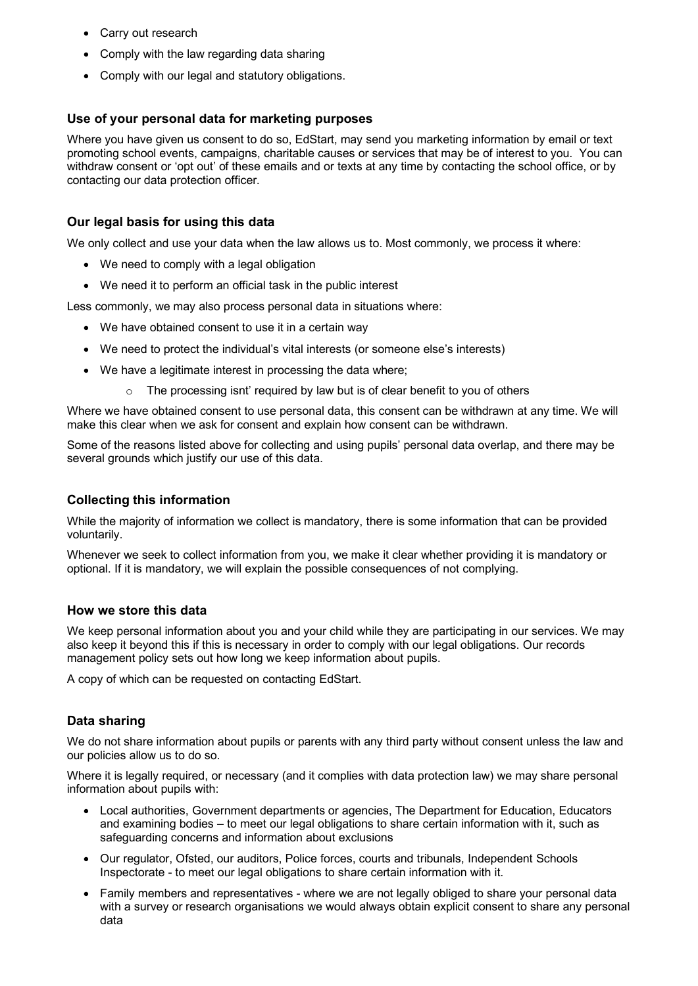- Carry out research
- Comply with the law regarding data sharing
- Comply with our legal and statutory obligations.

## **Use of your personal data for marketing purposes**

Where you have given us consent to do so, EdStart, may send you marketing information by email or text promoting school events, campaigns, charitable causes or services that may be of interest to you. You can withdraw consent or 'opt out' of these emails and or texts at any time by contacting the school office, or by contacting our data protection officer.

## **Our legal basis for using this data**

We only collect and use your data when the law allows us to. Most commonly, we process it where:

- We need to comply with a legal obligation
- We need it to perform an official task in the public interest

Less commonly, we may also process personal data in situations where:

- We have obtained consent to use it in a certain way
- We need to protect the individual's vital interests (or someone else's interests)
- We have a legitimate interest in processing the data where;
	- The processing isnt' required by law but is of clear benefit to you of others

Where we have obtained consent to use personal data, this consent can be withdrawn at any time. We will make this clear when we ask for consent and explain how consent can be withdrawn.

Some of the reasons listed above for collecting and using pupils' personal data overlap, and there may be several grounds which justify our use of this data.

## **Collecting this information**

While the majority of information we collect is mandatory, there is some information that can be provided voluntarily.

Whenever we seek to collect information from you, we make it clear whether providing it is mandatory or optional. If it is mandatory, we will explain the possible consequences of not complying.

#### **How we store this data**

We keep personal information about you and your child while they are participating in our services. We may also keep it beyond this if this is necessary in order to comply with our legal obligations. Our records management policy sets out how long we keep information about pupils.

A copy of which can be requested on contacting EdStart.

#### **Data sharing**

We do not share information about pupils or parents with any third party without consent unless the law and our policies allow us to do so.

Where it is legally required, or necessary (and it complies with data protection law) we may share personal information about pupils with:

- Local authorities, Government departments or agencies, The Department for Education, Educators and examining bodies – to meet our legal obligations to share certain information with it, such as safeguarding concerns and information about exclusions
- Our regulator, Ofsted, our auditors, Police forces, courts and tribunals, Independent Schools Inspectorate - to meet our legal obligations to share certain information with it.
- Family members and representatives where we are not legally obliged to share your personal data with a survey or research organisations we would always obtain explicit consent to share any personal data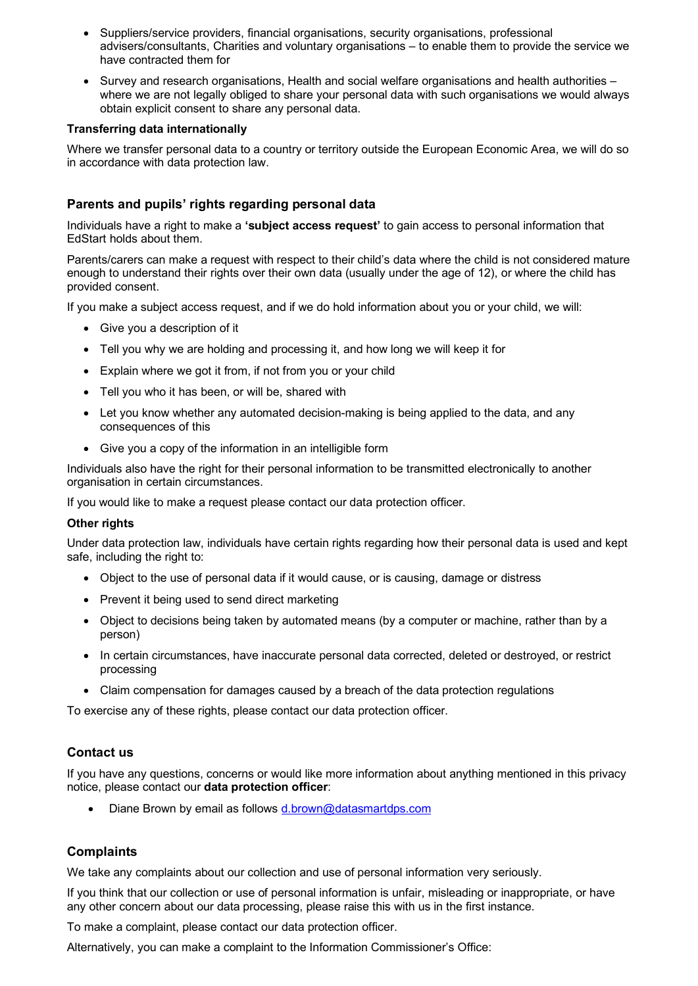- Suppliers/service providers, financial organisations, security organisations, professional advisers/consultants, Charities and voluntary organisations – to enable them to provide the service we have contracted them for
- Survey and research organisations, Health and social welfare organisations and health authorities where we are not legally obliged to share your personal data with such organisations we would always obtain explicit consent to share any personal data.

#### **Transferring data internationally**

Where we transfer personal data to a country or territory outside the European Economic Area, we will do so in accordance with data protection law.

## **Parents and pupils' rights regarding personal data**

Individuals have a right to make a **'subject access request'** to gain access to personal information that EdStart holds about them.

Parents/carers can make a request with respect to their child's data where the child is not considered mature enough to understand their rights over their own data (usually under the age of 12), or where the child has provided consent.

If you make a subject access request, and if we do hold information about you or your child, we will:

- Give you a description of it
- Tell you why we are holding and processing it, and how long we will keep it for
- Explain where we got it from, if not from you or your child
- Tell you who it has been, or will be, shared with
- Let you know whether any automated decision-making is being applied to the data, and any consequences of this
- Give you a copy of the information in an intelligible form

Individuals also have the right for their personal information to be transmitted electronically to another organisation in certain circumstances.

If you would like to make a request please contact our data protection officer.

#### **Other rights**

Under data protection law, individuals have certain rights regarding how their personal data is used and kept safe, including the right to:

- Object to the use of personal data if it would cause, or is causing, damage or distress
- Prevent it being used to send direct marketing
- Object to decisions being taken by automated means (by a computer or machine, rather than by a person)
- In certain circumstances, have inaccurate personal data corrected, deleted or destroyed, or restrict processing
- Claim compensation for damages caused by a breach of the data protection regulations

To exercise any of these rights, please contact our data protection officer.

#### **Contact us**

If you have any questions, concerns or would like more information about anything mentioned in this privacy notice, please contact our **data protection officer**:

• Diane Brown by email as follows d.brown@datasmartdps.com

#### **Complaints**

We take any complaints about our collection and use of personal information very seriously.

If you think that our collection or use of personal information is unfair, misleading or inappropriate, or have any other concern about our data processing, please raise this with us in the first instance.

To make a complaint, please contact our data protection officer.

Alternatively, you can make a complaint to the Information Commissioner's Office: